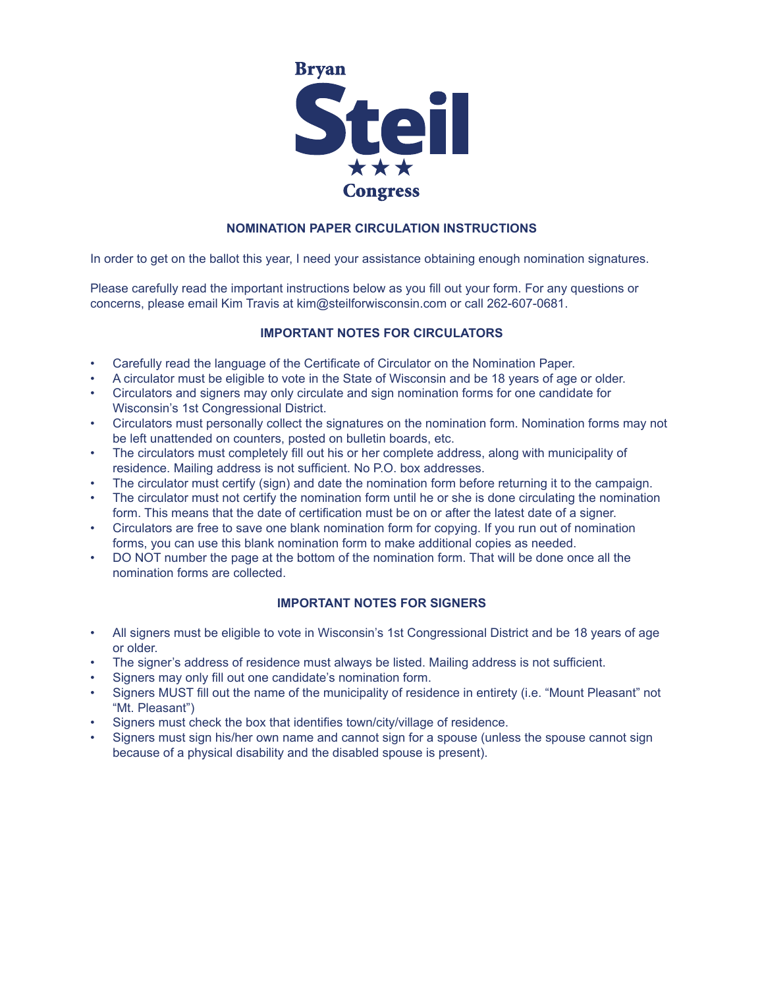

# **NOMINATION PAPER CIRCULATION INSTRUCTIONS**

In order to get on the ballot this year, I need your assistance obtaining enough nomination signatures.

Please carefully read the important instructions below as you fill out your form. For any questions or concerns, please email Kim Travis at kim@steilforwisconsin.com or call 262-607-0681.

# **IMPORTANT NOTES FOR CIRCULATORS**

- Carefully read the language of the Certificate of Circulator on the Nomination Paper.
- A circulator must be eligible to vote in the State of Wisconsin and be 18 years of age or older.
- Circulators and signers may only circulate and sign nomination forms for one candidate for Wisconsin's 1st Congressional District.
- Circulators must personally collect the signatures on the nomination form. Nomination forms may not be left unattended on counters, posted on bulletin boards, etc.
- The circulators must completely fill out his or her complete address, along with municipality of residence. Mailing address is not sufficient. No P.O. box addresses.
- The circulator must certify (sign) and date the nomination form before returning it to the campaign.
- The circulator must not certify the nomination form until he or she is done circulating the nomination form. This means that the date of certification must be on or after the latest date of a signer.
- Circulators are free to save one blank nomination form for copying. If you run out of nomination forms, you can use this blank nomination form to make additional copies as needed.
- DO NOT number the page at the bottom of the nomination form. That will be done once all the nomination forms are collected.

## **IMPORTANT NOTES FOR SIGNERS**

- All signers must be eligible to vote in Wisconsin's 1st Congressional District and be 18 years of age or older.
- The signer's address of residence must always be listed. Mailing address is not sufficient.
- Signers may only fill out one candidate's nomination form.
- Signers MUST fill out the name of the municipality of residence in entirety (i.e. "Mount Pleasant" not "Mt. Pleasant")
- Signers must check the box that identifies town/city/village of residence.
- Signers must sign his/her own name and cannot sign for a spouse (unless the spouse cannot sign because of a physical disability and the disabled spouse is present).